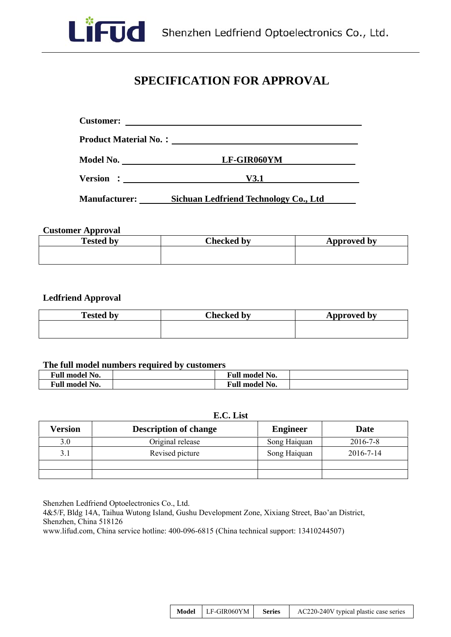

# **SPECIFICATION FOR APPROVAL**

| <b>Product Material No.:</b> |                                                                  |  |  |  |
|------------------------------|------------------------------------------------------------------|--|--|--|
| <b>Model No.</b>             | LF-GIR060YM<br><u> 1989 - Johann Barbara, martxa alemaniar a</u> |  |  |  |
| $Version : \_$               | V3.1                                                             |  |  |  |
| <b>Manufacturer:</b>         | Sichuan Ledfriend Technology Co., Ltd                            |  |  |  |

# **Customer Approval**

Li

Fud

| $\mathbf{b}$<br>Tested. | <b>Checked by</b> | Approved by |
|-------------------------|-------------------|-------------|
|                         |                   |             |
|                         |                   |             |

# **Ledfriend Approval**

| <b>Tested by</b> | <b>Checked by</b> | Approved by |
|------------------|-------------------|-------------|
|                  |                   |             |
|                  |                   |             |

# **The full model numbers required by customers**

| <b>Full model No.</b>        | <b>Full model No.</b> |  |
|------------------------------|-----------------------|--|
| <b>Full model</b><br>$'$ No. | <b>Full model No.</b> |  |

# **E.C. List**

| Version | <b>Description of change</b> | <b>Engineer</b> | Date           |
|---------|------------------------------|-----------------|----------------|
| 3.0     | Original release             | Song Haiquan    | $2016 - 7 - 8$ |
| 3.1     | Revised picture              | Song Haiquan    | 2016-7-14      |
|         |                              |                 |                |
|         |                              |                 |                |

Shenzhen Ledfriend Optoelectronics Co., Ltd.

4&5/F, Bldg 14A, Taihua Wutong Island, Gushu Development Zone, Xixiang Street, Bao'an District, Shenzhen, China 518126

www.lifud.com, China service hotline: 400-096-6815 (China technical support: 13410244507)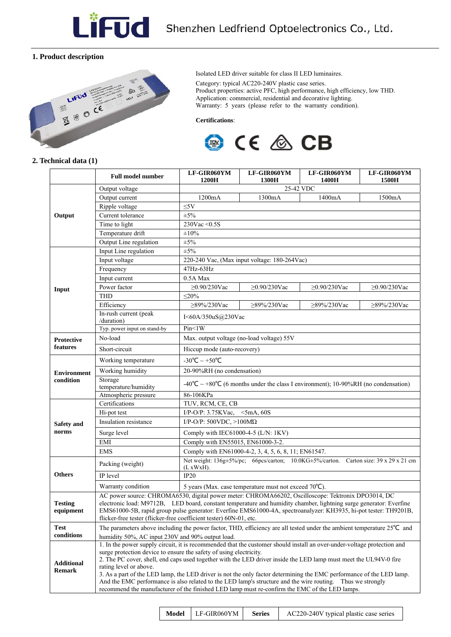

### **1. Product description**



Isolated LED driver suitable for class II LED luminaires.

 Category: typical AC220-240V plastic case series. Product properties: active PFC, high performance, high efficiency, low THD. Application: commercial, residential and decorative lighting. Warranty: 5 years (please refer to the warranty condition).

 **Certifications**:



#### **2. Technical data (1)**

|                                    | <b>Full model number</b>                                                                                                                                                                                                                                                                                                                                                                                                                                             | LF-GIR060YM<br>1200H                                                                                    | LF-GIR060YM<br>1300H                                  | LF-GIR060YM<br>1400H | LF-GIR060YM<br>1500H |  |  |
|------------------------------------|----------------------------------------------------------------------------------------------------------------------------------------------------------------------------------------------------------------------------------------------------------------------------------------------------------------------------------------------------------------------------------------------------------------------------------------------------------------------|---------------------------------------------------------------------------------------------------------|-------------------------------------------------------|----------------------|----------------------|--|--|
|                                    | Output voltage                                                                                                                                                                                                                                                                                                                                                                                                                                                       | 25-42 VDC                                                                                               |                                                       |                      |                      |  |  |
|                                    | Output current                                                                                                                                                                                                                                                                                                                                                                                                                                                       | 1200mA                                                                                                  | 1300mA                                                | 1400mA               | 1500mA               |  |  |
|                                    | Ripple voltage                                                                                                                                                                                                                                                                                                                                                                                                                                                       | $\leq$ 5V                                                                                               |                                                       |                      |                      |  |  |
| Output                             | Current tolerance                                                                                                                                                                                                                                                                                                                                                                                                                                                    | $\pm 5\%$                                                                                               |                                                       |                      |                      |  |  |
|                                    | Time to light                                                                                                                                                                                                                                                                                                                                                                                                                                                        | 230Vac < 0.5S                                                                                           |                                                       |                      |                      |  |  |
|                                    | Temperature drift                                                                                                                                                                                                                                                                                                                                                                                                                                                    | $\pm 10\%$                                                                                              |                                                       |                      |                      |  |  |
|                                    | Output Line regulation                                                                                                                                                                                                                                                                                                                                                                                                                                               | $\pm 5\%$                                                                                               |                                                       |                      |                      |  |  |
|                                    | Input Line regulation                                                                                                                                                                                                                                                                                                                                                                                                                                                | $\pm 5\%$                                                                                               |                                                       |                      |                      |  |  |
|                                    | Input voltage                                                                                                                                                                                                                                                                                                                                                                                                                                                        |                                                                                                         | 220-240 Vac, (Max input voltage: 180-264Vac)          |                      |                      |  |  |
|                                    | Frequency                                                                                                                                                                                                                                                                                                                                                                                                                                                            | 47Hz-63Hz                                                                                               |                                                       |                      |                      |  |  |
|                                    | Input current                                                                                                                                                                                                                                                                                                                                                                                                                                                        | 0.5A Max                                                                                                |                                                       |                      |                      |  |  |
| Input                              | Power factor                                                                                                                                                                                                                                                                                                                                                                                                                                                         | $≥0.90/230$ Vac                                                                                         | $≥0.90/230V$ ac                                       | $≥0.90/230$ Vac      | $≥0.90/230V$ ac      |  |  |
|                                    | <b>THD</b>                                                                                                                                                                                                                                                                                                                                                                                                                                                           | $\leq$ 20%                                                                                              |                                                       |                      |                      |  |  |
|                                    | Efficiency                                                                                                                                                                                                                                                                                                                                                                                                                                                           | ≥89%/230Vac                                                                                             | ≥89%/230Vac                                           | $\geq$ 89%/230Vac    | $≥89\%/230$ Vac      |  |  |
|                                    | In-rush current (peak<br>/duration)                                                                                                                                                                                                                                                                                                                                                                                                                                  | I<60A/350uS@230Vac                                                                                      |                                                       |                      |                      |  |  |
|                                    | Typ. power input on stand-by                                                                                                                                                                                                                                                                                                                                                                                                                                         | Pin<1W                                                                                                  |                                                       |                      |                      |  |  |
| <b>Protective</b>                  | No-load                                                                                                                                                                                                                                                                                                                                                                                                                                                              | Max. output voltage (no-load voltage) 55V                                                               |                                                       |                      |                      |  |  |
| features                           | Short-circuit                                                                                                                                                                                                                                                                                                                                                                                                                                                        | Hiccup mode (auto-recovery)                                                                             |                                                       |                      |                      |  |  |
|                                    | Working temperature                                                                                                                                                                                                                                                                                                                                                                                                                                                  | -30°C $\sim$ +50°C                                                                                      |                                                       |                      |                      |  |  |
| <b>Environment</b>                 | Working humidity                                                                                                                                                                                                                                                                                                                                                                                                                                                     | 20-90%RH (no condensation)                                                                              |                                                       |                      |                      |  |  |
| condition                          | Storage<br>temperature/humidity                                                                                                                                                                                                                                                                                                                                                                                                                                      | -40°C ~ +80°C (6 months under the class I environment); 10-90%RH (no condensation)                      |                                                       |                      |                      |  |  |
|                                    | Atmospheric pressure                                                                                                                                                                                                                                                                                                                                                                                                                                                 | 86-106KPa                                                                                               |                                                       |                      |                      |  |  |
|                                    | Certifications                                                                                                                                                                                                                                                                                                                                                                                                                                                       | TUV, RCM, CE, CB                                                                                        |                                                       |                      |                      |  |  |
|                                    | Hi-pot test                                                                                                                                                                                                                                                                                                                                                                                                                                                          | I/P-O/P: $3.75$ KVac, $\leq$ 5mA, 60S                                                                   |                                                       |                      |                      |  |  |
| <b>Safety</b> and                  | Insulation resistance                                                                                                                                                                                                                                                                                                                                                                                                                                                | I/P-O/P: $500VDC$ , $>100M\Omega$                                                                       |                                                       |                      |                      |  |  |
| norms                              | Surge level                                                                                                                                                                                                                                                                                                                                                                                                                                                          | Comply with IEC61000-4-5 (L/N: 1KV)                                                                     |                                                       |                      |                      |  |  |
|                                    | EMI                                                                                                                                                                                                                                                                                                                                                                                                                                                                  | Comply with EN55015, EN61000-3-2.                                                                       |                                                       |                      |                      |  |  |
|                                    | <b>EMS</b>                                                                                                                                                                                                                                                                                                                                                                                                                                                           | Comply with EN61000-4-2, 3, 4, 5, 6, 8, 11; EN61547.                                                    |                                                       |                      |                      |  |  |
|                                    | Packing (weight)                                                                                                                                                                                                                                                                                                                                                                                                                                                     | Net weight: 136g±5%/pc; 66pcs/carton; 10.0KG±5%/carton. Carton size: 39 x 29 x 21 cm<br>$(L x W x H)$ . |                                                       |                      |                      |  |  |
| <b>Others</b>                      | IP level                                                                                                                                                                                                                                                                                                                                                                                                                                                             | IP20                                                                                                    |                                                       |                      |                      |  |  |
|                                    | Warranty condition                                                                                                                                                                                                                                                                                                                                                                                                                                                   |                                                                                                         | 5 years (Max. case temperature must not exceed 70°C). |                      |                      |  |  |
| <b>Testing</b><br>equipment        | AC power source: CHROMA6530, digital power meter: CHROMA66202, Oscilloscope: Tektronix DPO3014, DC<br>electronic load: M9712B, LED board, constant temperature and humidity chamber, lightning surge generator: Everfine<br>EMS61000-5B, rapid group pulse generator: Everfine EMS61000-4A, spectroanalyzer: KH3935, hi-pot tester: TH9201B,<br>flicker-free tester (flicker-free coefficient tester) 60N-01, etc.                                                   |                                                                                                         |                                                       |                      |                      |  |  |
| <b>Test</b>                        | The parameters above including the power factor, THD, efficiency are all tested under the ambient temperature $25^{\circ}C$ and                                                                                                                                                                                                                                                                                                                                      |                                                                                                         |                                                       |                      |                      |  |  |
| conditions                         | humidity 50%, AC input 230V and 90% output load.                                                                                                                                                                                                                                                                                                                                                                                                                     |                                                                                                         |                                                       |                      |                      |  |  |
| <b>Additional</b><br><b>Remark</b> | 1. In the power supply circuit, it is recommended that the customer should install an over-under-voltage protection and<br>surge protection device to ensure the safety of using electricity.<br>2. The PC cover, shell, end caps used together with the LED driver inside the LED lamp must meet the UL94V-0 fire<br>rating level or above.<br>3. As a part of the LED lamp, the LED driver is not the only factor determining the EMC performance of the LED lamp. |                                                                                                         |                                                       |                      |                      |  |  |
|                                    | And the EMC performance is also related to the LED lamp's structure and the wire routing. Thus we strongly<br>recommend the manufacturer of the finished LED lamp must re-confirm the EMC of the LED lamps.                                                                                                                                                                                                                                                          |                                                                                                         |                                                       |                      |                      |  |  |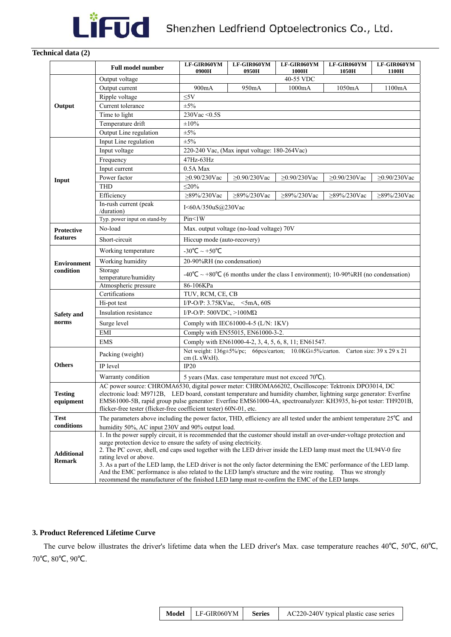

# **Technical data (2)**

|                             | <b>Full model number</b>                                                                                                                                                                                                                                                                                                                                                                                                                                             | LF-GIR060YM<br>0900H                                                                              | LF-GIR060YM<br>0950H                      | LF-GIR060YM<br>1000H                                            | LF-GIR060YM<br>1050H | LF-GIR060YM<br>1100H |  |
|-----------------------------|----------------------------------------------------------------------------------------------------------------------------------------------------------------------------------------------------------------------------------------------------------------------------------------------------------------------------------------------------------------------------------------------------------------------------------------------------------------------|---------------------------------------------------------------------------------------------------|-------------------------------------------|-----------------------------------------------------------------|----------------------|----------------------|--|
|                             | Output voltage                                                                                                                                                                                                                                                                                                                                                                                                                                                       | 40-55 VDC                                                                                         |                                           |                                                                 |                      |                      |  |
| Output                      | Output current                                                                                                                                                                                                                                                                                                                                                                                                                                                       | 900mA                                                                                             | 950 <sub>m</sub> A                        | 1000mA                                                          | 1050mA               | 1100mA               |  |
|                             | Ripple voltage                                                                                                                                                                                                                                                                                                                                                                                                                                                       | $\leq$ 5V                                                                                         |                                           |                                                                 |                      |                      |  |
|                             | Current tolerance                                                                                                                                                                                                                                                                                                                                                                                                                                                    | $\pm 5\%$                                                                                         |                                           |                                                                 |                      |                      |  |
|                             | Time to light                                                                                                                                                                                                                                                                                                                                                                                                                                                        | 230Vac < 0.5S                                                                                     |                                           |                                                                 |                      |                      |  |
|                             | Temperature drift                                                                                                                                                                                                                                                                                                                                                                                                                                                    | ±10%                                                                                              |                                           |                                                                 |                      |                      |  |
|                             | Output Line regulation                                                                                                                                                                                                                                                                                                                                                                                                                                               | $\pm 5\%$                                                                                         |                                           |                                                                 |                      |                      |  |
|                             | Input Line regulation                                                                                                                                                                                                                                                                                                                                                                                                                                                | $\pm 5\%$                                                                                         |                                           |                                                                 |                      |                      |  |
|                             | Input voltage                                                                                                                                                                                                                                                                                                                                                                                                                                                        | 220-240 Vac, (Max input voltage: 180-264Vac)                                                      |                                           |                                                                 |                      |                      |  |
|                             | Frequency                                                                                                                                                                                                                                                                                                                                                                                                                                                            | 47Hz-63Hz                                                                                         |                                           |                                                                 |                      |                      |  |
|                             | Input current                                                                                                                                                                                                                                                                                                                                                                                                                                                        | 0.5A Max                                                                                          |                                           |                                                                 |                      |                      |  |
| Input                       | Power factor                                                                                                                                                                                                                                                                                                                                                                                                                                                         | $≥0.90/230$ Vac                                                                                   | $≥0.90/230$ Vac                           | $≥0.90/230V$ ac                                                 | $≥0.90/230$ Vac      | $≥0.90/230$ Vac      |  |
|                             | <b>THD</b>                                                                                                                                                                                                                                                                                                                                                                                                                                                           | $\leq$ 20%                                                                                        |                                           |                                                                 |                      |                      |  |
|                             | Efficiency                                                                                                                                                                                                                                                                                                                                                                                                                                                           | ≥89%/230Vac                                                                                       | $\geq$ 89%/230Vac                         | ≥89%/230Vac                                                     | $\geq$ 89%/230Vac    | $\geq$ 89%/230Vac    |  |
|                             | In-rush current (peak<br>/duration)                                                                                                                                                                                                                                                                                                                                                                                                                                  | I<60A/350uS@230Vac                                                                                |                                           |                                                                 |                      |                      |  |
|                             | Typ. power input on stand-by                                                                                                                                                                                                                                                                                                                                                                                                                                         | Pin<1W                                                                                            |                                           |                                                                 |                      |                      |  |
| <b>Protective</b>           | No-load                                                                                                                                                                                                                                                                                                                                                                                                                                                              |                                                                                                   | Max. output voltage (no-load voltage) 70V |                                                                 |                      |                      |  |
| features                    | Short-circuit                                                                                                                                                                                                                                                                                                                                                                                                                                                        | Hiccup mode (auto-recovery)                                                                       |                                           |                                                                 |                      |                      |  |
|                             | Working temperature                                                                                                                                                                                                                                                                                                                                                                                                                                                  | -30°C $\sim$ +50°C                                                                                |                                           |                                                                 |                      |                      |  |
| <b>Environment</b>          | Working humidity                                                                                                                                                                                                                                                                                                                                                                                                                                                     | 20-90%RH (no condensation)                                                                        |                                           |                                                                 |                      |                      |  |
| condition                   | Storage<br>temperature/humidity                                                                                                                                                                                                                                                                                                                                                                                                                                      | -40°C ~ +80°C (6 months under the class I environment); 10-90%RH (no condensation)                |                                           |                                                                 |                      |                      |  |
|                             | Atmospheric pressure                                                                                                                                                                                                                                                                                                                                                                                                                                                 | 86-106KPa                                                                                         |                                           |                                                                 |                      |                      |  |
|                             | Certifications                                                                                                                                                                                                                                                                                                                                                                                                                                                       | TUV, RCM, CE, CB                                                                                  |                                           |                                                                 |                      |                      |  |
|                             | Hi-pot test                                                                                                                                                                                                                                                                                                                                                                                                                                                          | I/P-O/P: $3.75$ KVac, $\leq$ 5mA, 60S                                                             |                                           |                                                                 |                      |                      |  |
| <b>Safety</b> and           | Insulation resistance                                                                                                                                                                                                                                                                                                                                                                                                                                                | I/P-O/P: 500VDC, $>100M\Omega$                                                                    |                                           |                                                                 |                      |                      |  |
| norms                       | Surge level                                                                                                                                                                                                                                                                                                                                                                                                                                                          | Comply with IEC61000-4-5 (L/N: 1KV)                                                               |                                           |                                                                 |                      |                      |  |
|                             | EMI                                                                                                                                                                                                                                                                                                                                                                                                                                                                  | Comply with EN55015, EN61000-3-2.                                                                 |                                           |                                                                 |                      |                      |  |
|                             | <b>EMS</b>                                                                                                                                                                                                                                                                                                                                                                                                                                                           | Comply with EN61000-4-2, 3, 4, 5, 6, 8, 11; EN61547.                                              |                                           |                                                                 |                      |                      |  |
|                             | Packing (weight)                                                                                                                                                                                                                                                                                                                                                                                                                                                     | Net weight: 136g±5%/pc; 66pcs/carton; 10.0KG±5%/carton. Carton size: 39 x 29 x 21<br>cm (L xWxH). |                                           |                                                                 |                      |                      |  |
| <b>Others</b>               | IP level                                                                                                                                                                                                                                                                                                                                                                                                                                                             | IP20                                                                                              |                                           |                                                                 |                      |                      |  |
|                             | Warranty condition                                                                                                                                                                                                                                                                                                                                                                                                                                                   |                                                                                                   |                                           | 5 years (Max. case temperature must not exceed $70^{\circ}$ C). |                      |                      |  |
| <b>Testing</b><br>equipment | AC power source: CHROMA6530, digital power meter: CHROMA66202, Oscilloscope: Tektronix DPO3014, DC<br>electronic load: M9712B, LED board, constant temperature and humidity chamber, lightning surge generator: Everfine<br>EMS61000-5B, rapid group pulse generator: Everfine EMS61000-4A, spectroanalyzer: KH3935, hi-pot tester: TH9201B,<br>flicker-free tester (flicker-free coefficient tester) 60N-01, etc.                                                   |                                                                                                   |                                           |                                                                 |                      |                      |  |
| <b>Test</b>                 | The parameters above including the power factor, THD, efficiency are all tested under the ambient temperature $25^{\circ}C$ and                                                                                                                                                                                                                                                                                                                                      |                                                                                                   |                                           |                                                                 |                      |                      |  |
| conditions                  | humidity 50%, AC input 230V and 90% output load.                                                                                                                                                                                                                                                                                                                                                                                                                     |                                                                                                   |                                           |                                                                 |                      |                      |  |
| <b>Additional</b><br>Remark | 1. In the power supply circuit, it is recommended that the customer should install an over-under-voltage protection and<br>surge protection device to ensure the safety of using electricity.<br>2. The PC cover, shell, end caps used together with the LED driver inside the LED lamp must meet the UL94V-0 fire<br>rating level or above.<br>3. As a part of the LED lamp, the LED driver is not the only factor determining the EMC performance of the LED lamp. |                                                                                                   |                                           |                                                                 |                      |                      |  |
|                             | And the EMC performance is also related to the LED lamp's structure and the wire routing. Thus we strongly<br>recommend the manufacturer of the finished LED lamp must re-confirm the EMC of the LED lamps.                                                                                                                                                                                                                                                          |                                                                                                   |                                           |                                                                 |                      |                      |  |

#### **3. Product Referenced Lifetime Curve**

The curve below illustrates the driver's lifetime data when the LED driver's Max. case temperature reaches 40℃, 50℃, 60℃, 70℃, 80℃, 90℃.

|  | Model LF-GIR060YM Series |  | AC220-240V typical plastic case series |
|--|--------------------------|--|----------------------------------------|
|--|--------------------------|--|----------------------------------------|